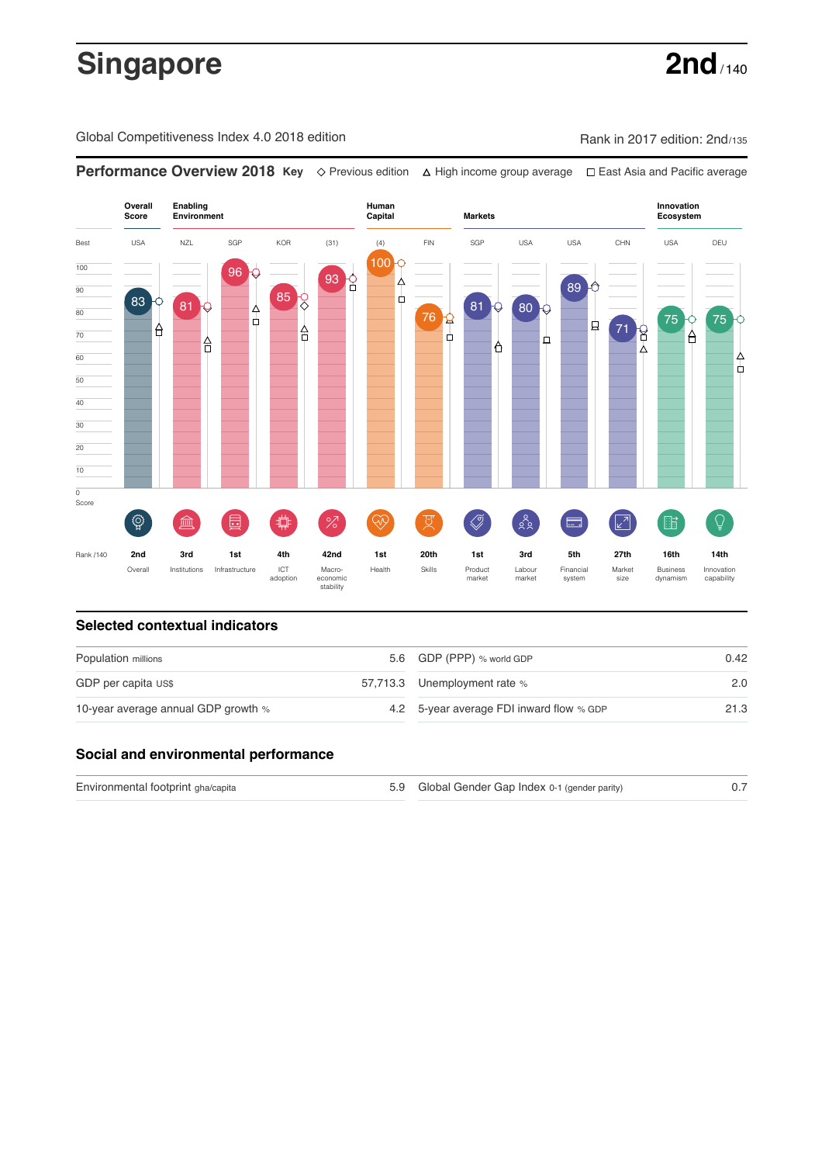# **Singapore 2nd** / 140

Global Competitiveness Index 4.0 2018 edition Rank in 2017 edition: 2nd/135

**Performance Overview 2018 Key** Previous edition High income group average East Asia and Pacific average **Overall Human Innovation Enabling Environment Capital Markets Score Ecosystem** Best USA NZL SGP KOR (31) (4) FIN SGP USA USA CHN USA DEU 100 100 96 93 <u>8</u> ∆ 89  $\overline{90}$ Ъ 85 83 0 81  $81 \bigtriangledown 80$ 80 4 76 Q 75 75 ф 貞 71 8 А 70 Å ò 유 Α Δ 60 4 ф 50

### **Selected contextual indicators**

 $\overline{\text{o}}$ 

| Population millions                 | 5.6 GDP (PPP) % world GDP                | 0.42 |  |
|-------------------------------------|------------------------------------------|------|--|
| GDP per capita US\$                 | 57,713.3 Unemployment rate %             | 2.0  |  |
| 10-year average annual GDP growth % | 4.2 5-year average FDI inward flow % GDP | 21.3 |  |

#### **Social and environmental performance**

Environmental footprint gha/capita and the state of the Global Gender Gap Index 0-1 (gender parity) 6.7

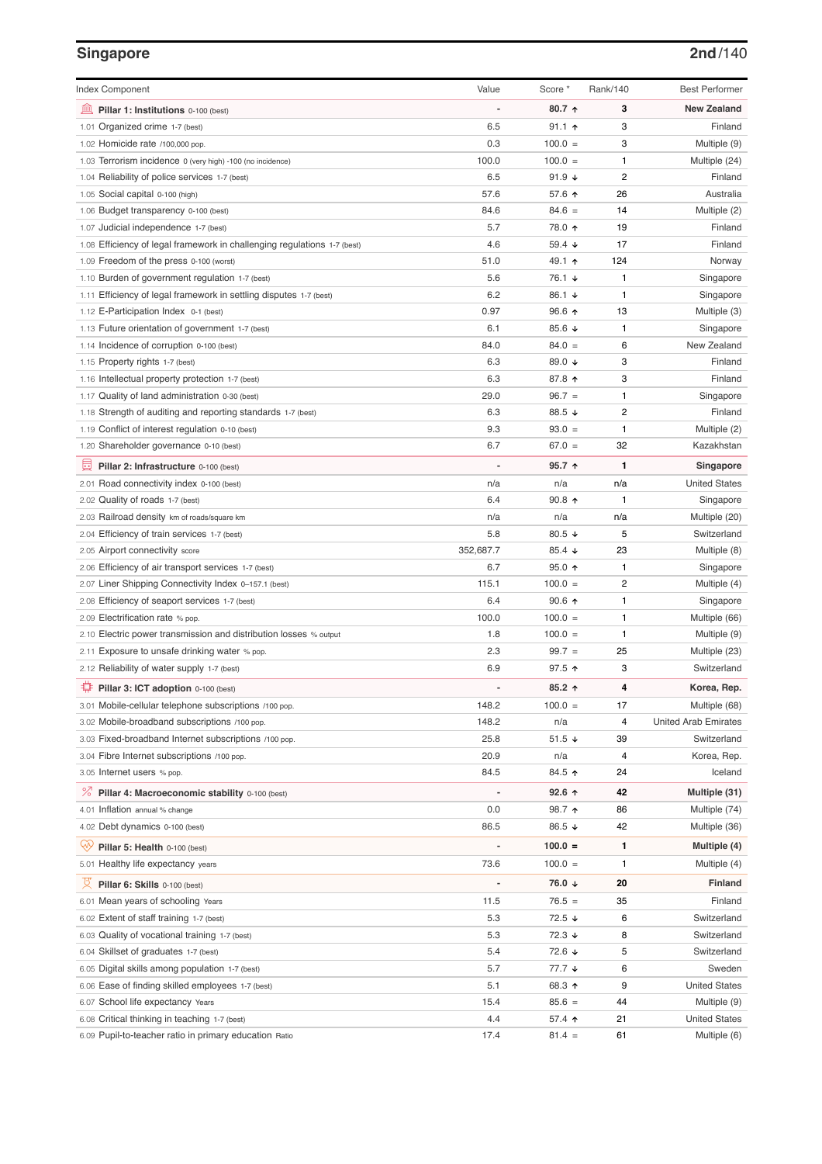# **Singapore 2nd**/140

| <b>Index Component</b>                                                   | Value            | Score *               | Rank/140       | <b>Best Performer</b>        |
|--------------------------------------------------------------------------|------------------|-----------------------|----------------|------------------------------|
| 寙<br>Pillar 1: Institutions 0-100 (best)                                 |                  | 80.7 $\uparrow$       | 3              | <b>New Zealand</b>           |
| Organized crime 1-7 (best)<br>1.01                                       | 6.5              | $91.1$ 1              | 3              | Finland                      |
| 1.02 Homicide rate /100,000 pop.                                         | 0.3              | $100.0 =$             | 3              | Multiple (9)                 |
| 1.03 Terrorism incidence 0 (very high) -100 (no incidence)               | 100.0            | $100.0 =$             | 1              | Multiple (24)                |
| 1.04 Reliability of police services 1-7 (best)                           | 6.5              | 91.9 $\sqrt{ }$       | $\overline{2}$ | Finland                      |
| 1.05 Social capital 0-100 (high)                                         | 57.6             | 57.6 个                | 26             | Australia                    |
| 1.06 Budget transparency 0-100 (best)                                    | 84.6             | $84.6 =$              | 14             | Multiple (2)                 |
| 1.07 Judicial independence 1-7 (best)                                    | 5.7              | 78.0 ↑                | 19             | Finland                      |
| 1.08 Efficiency of legal framework in challenging regulations 1-7 (best) | 4.6              | 59.4 $\sqrt{ }$       | 17             | Finland                      |
| 1.09 Freedom of the press 0-100 (worst)                                  | 51.0             | 49.1 ↑                | 124            | Norway                       |
| 1.10 Burden of government regulation 1-7 (best)                          | 5.6              | 76.1 ↓                | 1              | Singapore                    |
| 1.11 Efficiency of legal framework in settling disputes 1-7 (best)       | 6.2              | 86.1 ↓                | 1              | Singapore                    |
| 1.12 E-Participation Index 0-1 (best)                                    | 0.97             | 96.6 ↑                | 13             | Multiple (3)                 |
| 1.13 Future orientation of government 1-7 (best)                         | 6.1              | 85.6 $\sqrt{ }$       | 1              | Singapore                    |
| 1.14 Incidence of corruption 0-100 (best)                                | 84.0             | $84.0 =$              | 6              | New Zealand                  |
| 1.15 Property rights 1-7 (best)                                          | 6.3              | 89.0 ↓                | 3              | Finland                      |
| 1.16 Intellectual property protection 1-7 (best)                         | 6.3              | 87.8 ↑                | 3              | Finland                      |
| 1.17 Quality of land administration 0-30 (best)                          | 29.0             | $96.7 =$              | 1              | Singapore                    |
| 1.18 Strength of auditing and reporting standards 1-7 (best)             | 6.3              | 88.5 ↓                | 2              | Finland                      |
| 1.19 Conflict of interest regulation 0-10 (best)                         | 9.3              | $93.0 =$              | 1              | Multiple (2)                 |
| 1.20 Shareholder governance 0-10 (best)                                  | 6.7              | $67.0 =$              | 32             | Kazakhstan                   |
| 員<br>Pillar 2: Infrastructure 0-100 (best)                               |                  | $95.7$ ↑              | 1              | Singapore                    |
| 2.01 Road connectivity index 0-100 (best)                                | n/a              | n/a                   | n/a            | <b>United States</b>         |
| 2.02 Quality of roads 1-7 (best)                                         | 6.4              | $90.8$ ↑              | 1              | Singapore                    |
|                                                                          | n/a              | n/a                   | n/a            | Multiple (20)                |
| 2.03 Railroad density km of roads/square km                              | 5.8              | 80.5 $\sqrt{ }$       | 5              | Switzerland                  |
| 2.04 Efficiency of train services 1-7 (best)                             |                  |                       |                |                              |
| 2.05 Airport connectivity score                                          | 352,687.7<br>6.7 | 85.4 $\sqrt{ }$       | 23<br>1        | Multiple (8)                 |
| 2.06 Efficiency of air transport services 1-7 (best)                     |                  | $95.0$ ↑              | 2              | Singapore                    |
| 2.07 Liner Shipping Connectivity Index 0-157.1 (best)                    | 115.1            | $100.0 =$             |                | Multiple (4)                 |
| 2.08 Efficiency of seaport services 1-7 (best)                           | 6.4<br>100.0     | $90.6$ ↑<br>$100.0 =$ | 1<br>1         | Singapore<br>Multiple (66)   |
| 2.09 Electrification rate % pop.                                         |                  | $100.0 =$             | 1              |                              |
| 2.10 Electric power transmission and distribution losses % output        | 1.8<br>2.3       | $99.7 =$              |                | Multiple (9)                 |
| 2.11 Exposure to unsafe drinking water % pop.                            | 6.9              |                       | 25<br>3        | Multiple (23)<br>Switzerland |
| 2.12 Reliability of water supply 1-7 (best)                              |                  | 97.5 ↑                |                |                              |
| O<br>Pillar 3: ICT adoption 0-100 (best)                                 |                  | $85.2$ ↑              | 4              | Korea, Rep.                  |
| 3.01 Mobile-cellular telephone subscriptions /100 pop.                   | 148.2            | $100.0 =$             | 17             | Multiple (68)                |
| 3.02 Mobile-broadband subscriptions /100 pop.                            | 148.2            | n/a                   | 4              | <b>United Arab Emirates</b>  |
| 3.03 Fixed-broadband Internet subscriptions /100 pop.                    | 25.8             | $51.5 +$              | 39             | Switzerland                  |
| 3.04 Fibre Internet subscriptions /100 pop.                              | 20.9             | n/a                   | 4              | Korea, Rep.                  |
| 3.05 Internet users % pop.                                               | 84.5             | 84.5 ↑                | 24             | Iceland                      |
| ℅<br>Pillar 4: Macroeconomic stability 0-100 (best)                      | $\overline{a}$   | 92.6 ↑                | 42             | Multiple (31)                |
| 4.01 Inflation annual % change                                           | 0.0              | 98.7 ↑                | 86             | Multiple (74)                |
| 4.02 Debt dynamics 0-100 (best)                                          | 86.5             | 86.5 ↓                | 42             | Multiple (36)                |
| Qv<br>Pillar 5: Health 0-100 (best)                                      | $\overline{a}$   | $100.0 =$             | 1              | Multiple (4)                 |
| 5.01 Healthy life expectancy years                                       | 73.6             | $100.0 =$             | 1              | Multiple (4)                 |
| 섯<br>Pillar 6: Skills 0-100 (best)                                       | $\overline{a}$   | 76.0 ↓                | 20             | Finland                      |
| 6.01 Mean years of schooling Years                                       | 11.5             | $76.5 =$              | 35             | Finland                      |
| 6.02 Extent of staff training 1-7 (best)                                 | 5.3              | 72.5 ↓                | 6              | Switzerland                  |
| 6.03 Quality of vocational training 1-7 (best)                           | 5.3              | 72.3 ↓                | 8              | Switzerland                  |
| 6.04 Skillset of graduates 1-7 (best)                                    | 5.4              | 72.6 ↓                | 5              | Switzerland                  |
| 6.05 Digital skills among population 1-7 (best)                          | 5.7              | 77.7 ↓                | 6              | Sweden                       |
| 6.06 Ease of finding skilled employees 1-7 (best)                        | 5.1              | 68.3 ↑                | 9              | <b>United States</b>         |
| 6.07 School life expectancy Years                                        | 15.4             | $85.6 =$              | 44             | Multiple (9)                 |
| 6.08 Critical thinking in teaching 1-7 (best)                            | 4.4              | 57.4 ↑                | 21             | <b>United States</b>         |
| 6.09 Pupil-to-teacher ratio in primary education Ratio                   | 17.4             | $81.4 =$              | 61             | Multiple (6)                 |